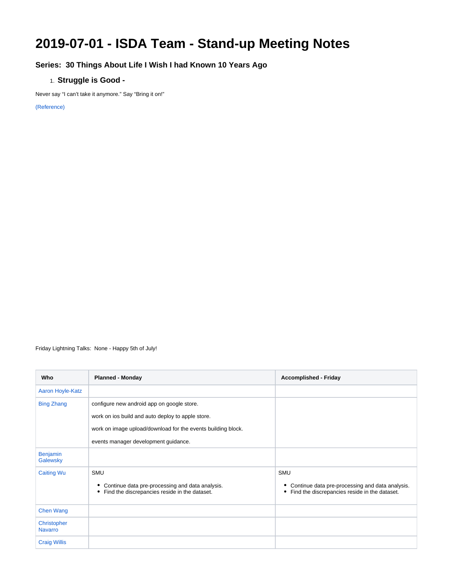## **2019-07-01 - ISDA Team - Stand-up Meeting Notes**

## **Series: 30 Things About Life I Wish I had Known 10 Years Ago**

## 1. **Struggle is Good -**

Never say "I can't take it anymore." Say "Bring it on!"

[\(Reference\)](https://getpocket.com/explore/item/30-things-about-life-i-wish-i-had-known-10-years-ago)

Friday Lightning Talks: None - Happy 5th of July!

| Who                           | <b>Planned - Monday</b>                                                                                    | <b>Accomplished - Friday</b>                                                                     |
|-------------------------------|------------------------------------------------------------------------------------------------------------|--------------------------------------------------------------------------------------------------|
| Aaron Hoyle-Katz              |                                                                                                            |                                                                                                  |
| <b>Bing Zhang</b>             | configure new android app on google store.                                                                 |                                                                                                  |
|                               | work on ios build and auto deploy to apple store.                                                          |                                                                                                  |
|                               | work on image upload/download for the events building block.                                               |                                                                                                  |
|                               | events manager development guidance.                                                                       |                                                                                                  |
| <b>Benjamin</b><br>Galewsky   |                                                                                                            |                                                                                                  |
| <b>Caiting Wu</b>             | <b>SMU</b>                                                                                                 | <b>SMU</b>                                                                                       |
|                               | Continue data pre-processing and data analysis.<br>٠<br>Find the discrepancies reside in the dataset.<br>٠ | Continue data pre-processing and data analysis.<br>Find the discrepancies reside in the dataset. |
| <b>Chen Wang</b>              |                                                                                                            |                                                                                                  |
| Christopher<br><b>Navarro</b> |                                                                                                            |                                                                                                  |
| <b>Craig Willis</b>           |                                                                                                            |                                                                                                  |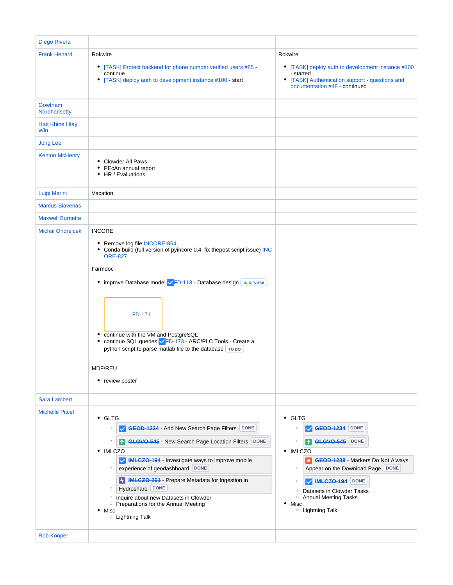| Diego Rivera                    |                                                                                                                                                                                                                                                                                                                                                                                                                                                                                                                       |                                                                                                                                                                                                                                                                                                                                                                    |
|---------------------------------|-----------------------------------------------------------------------------------------------------------------------------------------------------------------------------------------------------------------------------------------------------------------------------------------------------------------------------------------------------------------------------------------------------------------------------------------------------------------------------------------------------------------------|--------------------------------------------------------------------------------------------------------------------------------------------------------------------------------------------------------------------------------------------------------------------------------------------------------------------------------------------------------------------|
| <b>Frank Henard</b>             | Rokwire                                                                                                                                                                                                                                                                                                                                                                                                                                                                                                               | Rokwire                                                                                                                                                                                                                                                                                                                                                            |
|                                 | • [TASK] Protect backend for phone number verified users #85 -<br>continue<br>• [TASK] deploy auth to development instance #100 - start                                                                                                                                                                                                                                                                                                                                                                               | • [TASK] deploy auth to development instance #100<br>- started<br>• [TASK] Authentication support - questions and<br>documentation #48 - continued                                                                                                                                                                                                                 |
| Gowtham<br><b>Naraharisetty</b> |                                                                                                                                                                                                                                                                                                                                                                                                                                                                                                                       |                                                                                                                                                                                                                                                                                                                                                                    |
| <b>Htut Khine Htay</b><br>Win   |                                                                                                                                                                                                                                                                                                                                                                                                                                                                                                                       |                                                                                                                                                                                                                                                                                                                                                                    |
| <b>Jong Lee</b>                 |                                                                                                                                                                                                                                                                                                                                                                                                                                                                                                                       |                                                                                                                                                                                                                                                                                                                                                                    |
| <b>Kenton McHenry</b>           | • Clowder All Paws<br>• PEcAn annual report<br>• HR / Evaluations                                                                                                                                                                                                                                                                                                                                                                                                                                                     |                                                                                                                                                                                                                                                                                                                                                                    |
| Luigi Marini                    | Vacation                                                                                                                                                                                                                                                                                                                                                                                                                                                                                                              |                                                                                                                                                                                                                                                                                                                                                                    |
| <b>Marcus Slavenas</b>          |                                                                                                                                                                                                                                                                                                                                                                                                                                                                                                                       |                                                                                                                                                                                                                                                                                                                                                                    |
| <b>Maxwell Burnette</b>         |                                                                                                                                                                                                                                                                                                                                                                                                                                                                                                                       |                                                                                                                                                                                                                                                                                                                                                                    |
| <b>Michal Ondrejcek</b>         | <b>INCORE</b><br>• Remove log file INCORE-864.<br>• Conda build (full version of pyincore 0.4, fix thepost script issue) INC<br><b>ORE-827</b><br>Farmdoc<br>• improve Database model <b>/FD-113</b> - Database design <b>IN REVIEW</b><br>FD-171<br>continue with the VM and PostgreSQL<br>٠<br>continue SQL queries <b>/FD-173 - ARC/PLC Tools - Create a</b><br>٠<br>python script to parse matlab file to the database $\sqrt{ }$ To Do<br>MDF/REU<br>• review poster                                             |                                                                                                                                                                                                                                                                                                                                                                    |
| <b>Sara Lambert</b>             |                                                                                                                                                                                                                                                                                                                                                                                                                                                                                                                       |                                                                                                                                                                                                                                                                                                                                                                    |
| <b>Michelle Pitcel</b>          | $\bullet$ GLTG<br><b>GEOD-1234</b> - Add New Search Page Filters DONE<br>$\circ$<br>$\sim$<br>1 GLGVO-545 - New Search Page Location Filters DONE<br>$\circ$<br>• IMLCZO<br>MILCZO-194 - Investigate ways to improve mobile<br>experience of geodashboard DONE<br>$\circ$<br><sup>4</sup> <b>IMLCZO-261</b> - Prepare Metadata for Ingestion in<br>Hydroshare DONE<br>$\circ$<br><sup>o</sup> Inquire about new Datasets in Clowder<br>○ Preparations for the Annual Meeting<br>• Misc<br><sup>o</sup> Lightning Talk | • GLTG<br><b>GEOD-1234</b> DONE<br>$\circ$<br>GLGVO-545 DONE<br>$\circ$<br>$ \uparrow $<br>• IMLCZO<br><b>O</b> GEOD-1238 - Markers Do Not Always<br>Appear on the Download Page DONE<br>$\circ$<br><b>IMLCZO-194</b> DONE<br>$\circ$<br>M<br><sup>o</sup> Datasets in Clowder Tasks<br><sup>o</sup> Annual Meeting Tasks<br>• Misc<br><sup>o</sup> Lightning Talk |
| <b>Rob Kooper</b>               |                                                                                                                                                                                                                                                                                                                                                                                                                                                                                                                       |                                                                                                                                                                                                                                                                                                                                                                    |